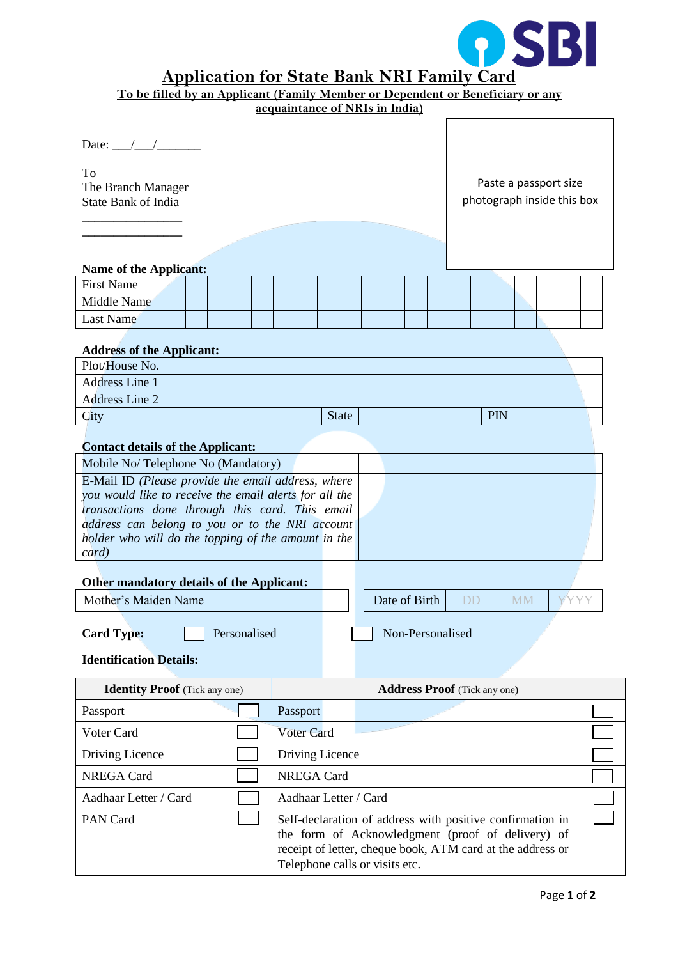

## **Application for State Bank NRI Family Card**

| To be filled by an Applicant (Family Member or Dependent or Beneficiary or any                                                                                                                                                                                                     | acquaintance of NRIs in India) |              |               |                  |                                     |                                                     |      |  |
|------------------------------------------------------------------------------------------------------------------------------------------------------------------------------------------------------------------------------------------------------------------------------------|--------------------------------|--------------|---------------|------------------|-------------------------------------|-----------------------------------------------------|------|--|
| Date: $\angle$ / /<br>To<br>The Branch Manager<br><b>State Bank of India</b>                                                                                                                                                                                                       |                                |              |               |                  |                                     | Paste a passport size<br>photograph inside this box |      |  |
| <b>Name of the Applicant:</b>                                                                                                                                                                                                                                                      |                                |              |               |                  |                                     |                                                     |      |  |
| <b>First Name</b>                                                                                                                                                                                                                                                                  |                                |              |               |                  |                                     |                                                     |      |  |
| Middle Name                                                                                                                                                                                                                                                                        |                                |              |               |                  |                                     |                                                     |      |  |
| <b>Last Name</b>                                                                                                                                                                                                                                                                   |                                |              |               |                  |                                     |                                                     |      |  |
| <b>Address of the Applicant:</b>                                                                                                                                                                                                                                                   |                                |              |               |                  |                                     |                                                     |      |  |
| Plot/House No.                                                                                                                                                                                                                                                                     |                                |              |               |                  |                                     |                                                     |      |  |
| <b>Address Line 1</b>                                                                                                                                                                                                                                                              |                                |              |               |                  |                                     |                                                     |      |  |
| <b>Address Line 2</b>                                                                                                                                                                                                                                                              |                                |              |               |                  |                                     |                                                     |      |  |
| City                                                                                                                                                                                                                                                                               |                                | <b>State</b> |               |                  |                                     | PIN                                                 |      |  |
| <b>Contact details of the Applicant:</b>                                                                                                                                                                                                                                           |                                |              |               |                  |                                     |                                                     |      |  |
| Mobile No/Telephone No (Mandatory)                                                                                                                                                                                                                                                 |                                |              |               |                  |                                     |                                                     |      |  |
| E-Mail ID (Please provide the email address, where<br>you would like to receive the email alerts for all the<br>transactions done through this card. This email<br>address can belong to you or to the NRI account<br>holder who will do the topping of the amount in the<br>card) |                                |              |               |                  |                                     |                                                     |      |  |
| Other mandatory details of the Applicant:                                                                                                                                                                                                                                          |                                |              |               |                  |                                     |                                                     |      |  |
| Mother's Maiden Name                                                                                                                                                                                                                                                               |                                |              | Date of Birth |                  | DD                                  | <b>MM</b>                                           | YYYY |  |
| Personalised<br><b>Card Type:</b><br><b>Identification Details:</b>                                                                                                                                                                                                                |                                |              |               | Non-Personalised |                                     |                                                     |      |  |
|                                                                                                                                                                                                                                                                                    |                                |              |               |                  |                                     |                                                     |      |  |
| <b>Identity Proof</b> (Tick any one)                                                                                                                                                                                                                                               |                                |              |               |                  | <b>Address Proof</b> (Tick any one) |                                                     |      |  |
| Passport                                                                                                                                                                                                                                                                           | Passport                       |              |               |                  |                                     |                                                     |      |  |
| Voter Card                                                                                                                                                                                                                                                                         | <b>Voter Card</b>              |              |               |                  |                                     |                                                     |      |  |
| Driving Licence                                                                                                                                                                                                                                                                    | Driving Licence                |              |               |                  |                                     |                                                     |      |  |
| <b>NREGA Card</b>                                                                                                                                                                                                                                                                  | <b>NREGA Card</b>              |              |               |                  |                                     |                                                     |      |  |
| Aadhaar Letter / Card                                                                                                                                                                                                                                                              | Aadhaar Letter / Card          |              |               |                  |                                     |                                                     |      |  |

PAN Card Self-declaration of address with positive confirmation in

Telephone calls or visits etc.

the form of Acknowledgment (proof of delivery) of receipt of letter, cheque book, ATM card at the address or